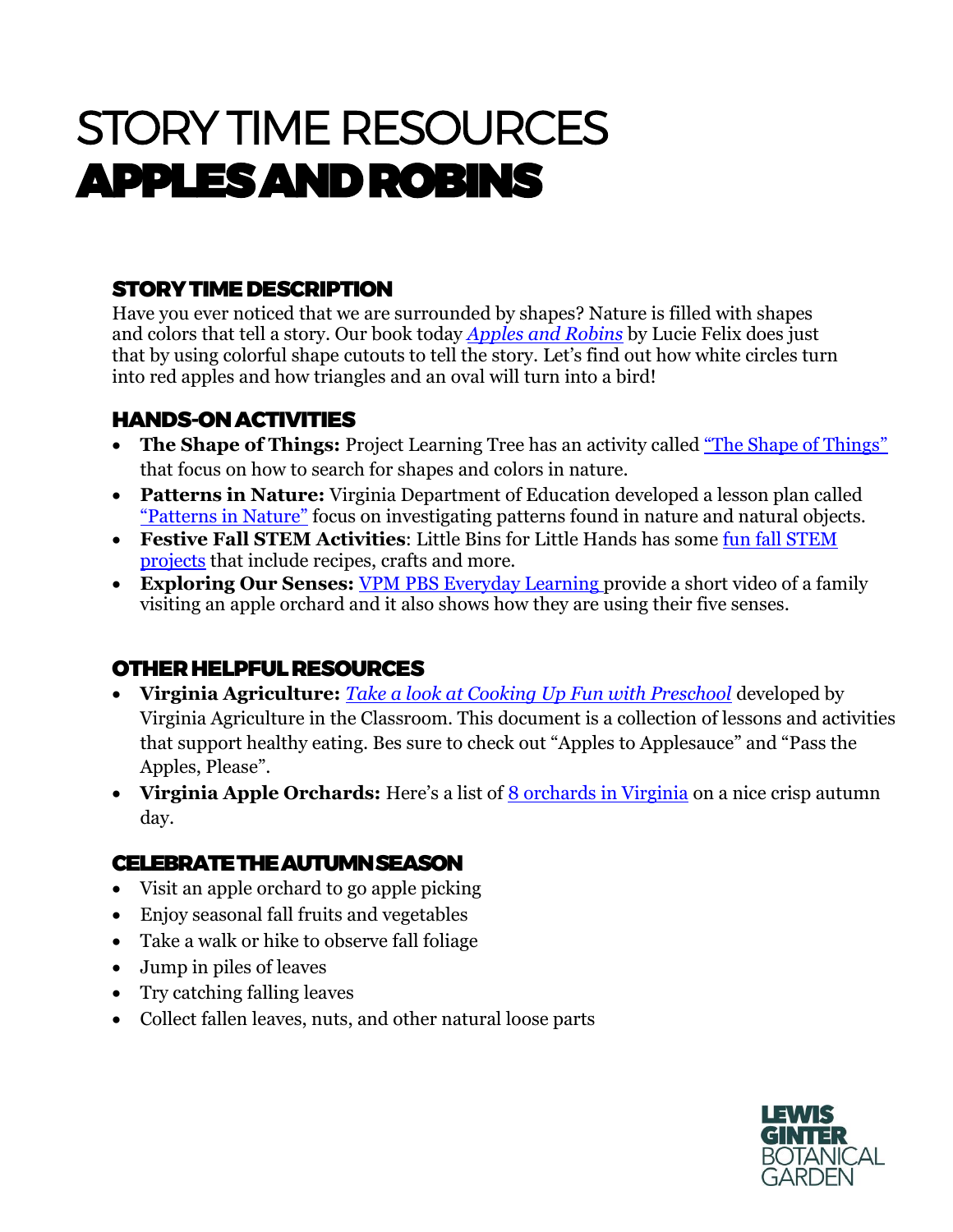# STORY TIME RESOURCES APPLES AND ROBINS

## STORY TIME DESCRIPTION

Have you ever noticed that we are surrounded by shapes? Nature is filled with shapes and colors that tell a story. Our book today *[Apples and Robins](https://www.amazon.com/Apples-Robins-Lucie-Felix/dp/145213264X)* by Lucie Felix does just that by using colorful shape cutouts to tell the story. Let's find out how white circles turn into red apples and how triangles and an oval will turn into a bird!

### HANDS-ON ACTIVITIES

- **The Shape of Things:** Project Learning Tree has an activity called ["The Shape of Things"](https://www.plt.org/sample-lesson-plan/early-childhood/shape-of-things/) that focus on how to search for shapes and colors in nature.
- **Patterns in Nature:** Virginia Department of Education developed a lesson plan called ["Patterns in Nature"](http://www.doe.virginia.gov/testing/sol/standards_docs/science/2010/lesson_plans/kindergarten/earth_patterns_cycles_changes/sess_K-9b.pdf) focus on investigating patterns found in nature and natural objects.
- **Festive Fall STEM Activities**: Little Bins for Little Hands has some [fun fall STEM](https://littlebinsforlittlehands.com/fall-stem-activities/)  [projects](https://littlebinsforlittlehands.com/fall-stem-activities/) that include recipes, crafts and more.
- **Exploring Our Senses:** [VPM PBS Everyday Learning](https://kidsgardening.org/garden-activities-save-your-seeds/) provide a short video of a family visiting an apple orchard and it also shows how they are using their five senses.

#### OTHER HELPFUL RESOURCES

- **Virginia Agriculture:** *[Take a look at Cooking Up Fun with Preschool](https://agclassroom.org/va/teachers/lesson_subject/cooking.pdf)* developed by Virginia Agriculture in the Classroom. This document is a collection of lessons and activities that support healthy eating. Bes sure to check out "Apples to Applesauce" and "Pass the Apples, Please".
- Virginia Apple Orchards: Here's a list of <u>[8 orchards in Virginia](https://www.onlyinyourstate.com/virginia/best-apple-orchards-in-va/)</u> on a nice crisp autumn day.

#### CELEBRATE THE AUTUMN SEASON

- Visit an apple orchard to go apple picking
- Enjoy seasonal fall fruits and vegetables
- Take a walk or hike to observe fall foliage
- Jump in piles of leaves
- Try catching falling leaves
- Collect fallen leaves, nuts, and other natural loose parts